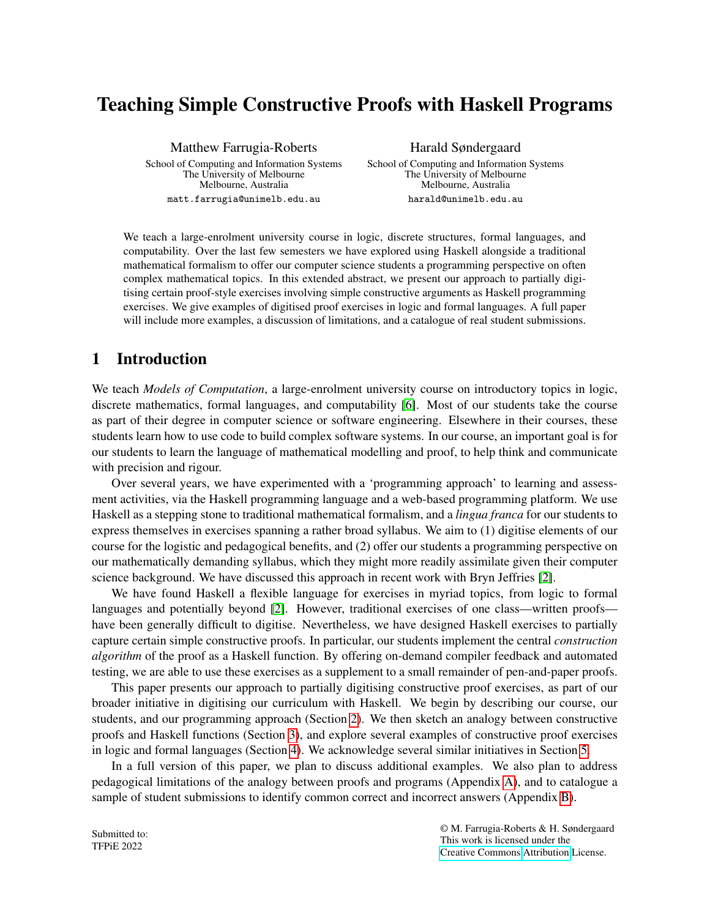# Teaching Simple Constructive Proofs with Haskell Programs

Matthew Farrugia-Roberts

School of Computing and Information Systems The University of Melbourne Melbourne, Australia matt.farrugia@unimelb.edu.au

Harald Søndergaard

School of Computing and Information Systems The University of Melbourne Melbourne, Australia harald@unimelb.edu.au

We teach a large-enrolment university course in logic, discrete structures, formal languages, and computability. Over the last few semesters we have explored using Haskell alongside a traditional mathematical formalism to offer our computer science students a programming perspective on often complex mathematical topics. In this extended abstract, we present our approach to partially digitising certain proof-style exercises involving simple constructive arguments as Haskell programming exercises. We give examples of digitised proof exercises in logic and formal languages. A full paper will include more examples, a discussion of limitations, and a catalogue of real student submissions.

# 1 Introduction

We teach *Models of Computation*, a large-enrolment university course on introductory topics in logic, discrete mathematics, formal languages, and computability [\[6\]](#page-5-0). Most of our students take the course as part of their degree in computer science or software engineering. Elsewhere in their courses, these students learn how to use code to build complex software systems. In our course, an important goal is for our students to learn the language of mathematical modelling and proof, to help think and communicate with precision and rigour.

Over several years, we have experimented with a 'programming approach' to learning and assessment activities, via the Haskell programming language and a web-based programming platform. We use Haskell as a stepping stone to traditional mathematical formalism, and a *lingua franca* for our students to express themselves in exercises spanning a rather broad syllabus. We aim to (1) digitise elements of our course for the logistic and pedagogical benefits, and (2) offer our students a programming perspective on our mathematically demanding syllabus, which they might more readily assimilate given their computer science background. We have discussed this approach in recent work with Bryn Jeffries [\[2\]](#page-5-1).

We have found Haskell a flexible language for exercises in myriad topics, from logic to formal languages and potentially beyond [\[2\]](#page-5-1). However, traditional exercises of one class—written proofs have been generally difficult to digitise. Nevertheless, we have designed Haskell exercises to partially capture certain simple constructive proofs. In particular, our students implement the central *construction algorithm* of the proof as a Haskell function. By offering on-demand compiler feedback and automated testing, we are able to use these exercises as a supplement to a small remainder of pen-and-paper proofs.

This paper presents our approach to partially digitising constructive proof exercises, as part of our broader initiative in digitising our curriculum with Haskell. We begin by describing our course, our students, and our programming approach (Section [2\)](#page-1-0). We then sketch an analogy between constructive proofs and Haskell functions (Section [3\)](#page-2-0), and explore several examples of constructive proof exercises in logic and formal languages (Section [4\)](#page-3-0). We acknowledge several similar initiatives in Section [5.](#page-5-2)

In a full version of this paper, we plan to discuss additional examples. We also plan to address pedagogical limitations of the analogy between proofs and programs (Appendix [A\)](#page-6-0), and to catalogue a sample of student submissions to identify common correct and incorrect answers (Appendix [B\)](#page-6-1).

Submitted to: TFPiE 2022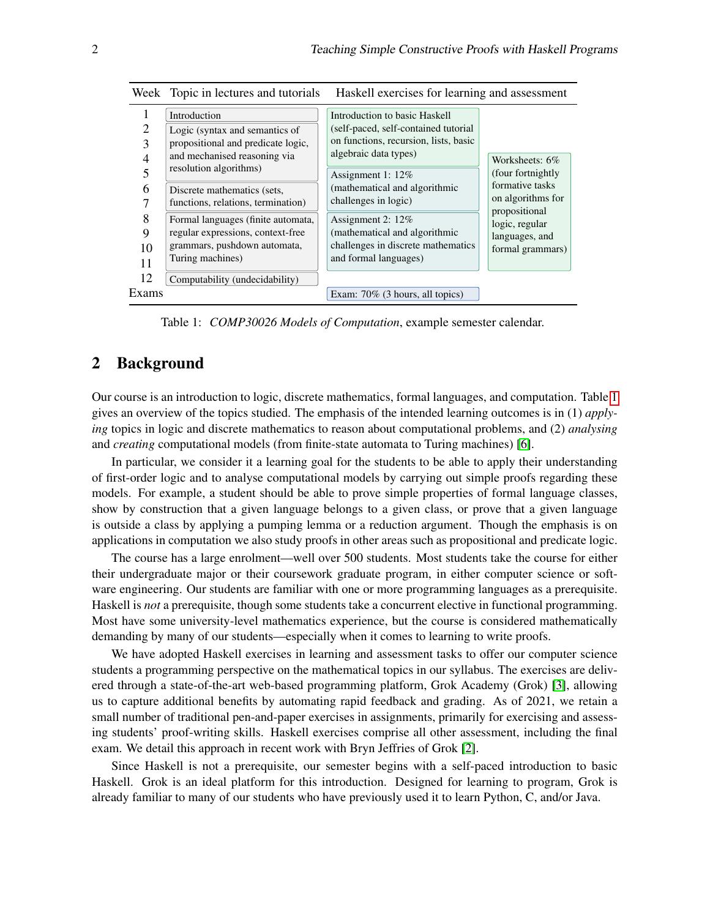| ∍<br>3<br>5        | Introduction<br>Logic (syntax and semantics of<br>propositional and predicate logic,<br>and mechanised reasoning via<br>resolution algorithms) | Introduction to basic Haskell<br>(self-paced, self-contained tutorial<br>on functions, recursion, lists, basic<br>algebraic data types)<br>Assignment 1: 12% | Worksheets: 6%<br>(four fortnightly)<br>formative tasks               |
|--------------------|------------------------------------------------------------------------------------------------------------------------------------------------|--------------------------------------------------------------------------------------------------------------------------------------------------------------|-----------------------------------------------------------------------|
| 6<br>7             | Discrete mathematics (sets,<br>functions, relations, termination)                                                                              | (mathematical and algorithmic<br>challenges in logic)                                                                                                        | on algorithms for                                                     |
| 8<br>9<br>10<br>11 | Formal languages (finite automata,<br>regular expressions, context-free<br>grammars, pushdown automata,<br>Turing machines)                    | Assignment 2: 12%<br>(mathematical and algorithmic<br>challenges in discrete mathematics<br>and formal languages)                                            | propositional<br>logic, regular<br>languages, and<br>formal grammars) |
| 12<br>Exams        | Computability (undecidability)                                                                                                                 | Exam: $70\%$ (3 hours, all topics)                                                                                                                           |                                                                       |

Week Topic in lectures and tutorials Haskell exercises for learning and assessment

<span id="page-1-1"></span>Table 1: *COMP30026 Models of Computation*, example semester calendar.

# <span id="page-1-0"></span>2 Background

Our course is an introduction to logic, discrete mathematics, formal languages, and computation. Table [1](#page-1-1) gives an overview of the topics studied. The emphasis of the intended learning outcomes is in (1) *applying* topics in logic and discrete mathematics to reason about computational problems, and (2) *analysing* and *creating* computational models (from finite-state automata to Turing machines) [\[6\]](#page-5-0).

In particular, we consider it a learning goal for the students to be able to apply their understanding of first-order logic and to analyse computational models by carrying out simple proofs regarding these models. For example, a student should be able to prove simple properties of formal language classes, show by construction that a given language belongs to a given class, or prove that a given language is outside a class by applying a pumping lemma or a reduction argument. Though the emphasis is on applications in computation we also study proofs in other areas such as propositional and predicate logic.

The course has a large enrolment—well over 500 students. Most students take the course for either their undergraduate major or their coursework graduate program, in either computer science or software engineering. Our students are familiar with one or more programming languages as a prerequisite. Haskell is *not* a prerequisite, though some students take a concurrent elective in functional programming. Most have some university-level mathematics experience, but the course is considered mathematically demanding by many of our students—especially when it comes to learning to write proofs.

We have adopted Haskell exercises in learning and assessment tasks to offer our computer science students a programming perspective on the mathematical topics in our syllabus. The exercises are delivered through a state-of-the-art web-based programming platform, Grok Academy (Grok) [\[3\]](#page-5-3), allowing us to capture additional benefits by automating rapid feedback and grading. As of 2021, we retain a small number of traditional pen-and-paper exercises in assignments, primarily for exercising and assessing students' proof-writing skills. Haskell exercises comprise all other assessment, including the final exam. We detail this approach in recent work with Bryn Jeffries of Grok [\[2\]](#page-5-1).

Since Haskell is not a prerequisite, our semester begins with a self-paced introduction to basic Haskell. Grok is an ideal platform for this introduction. Designed for learning to program, Grok is already familiar to many of our students who have previously used it to learn Python, C, and/or Java.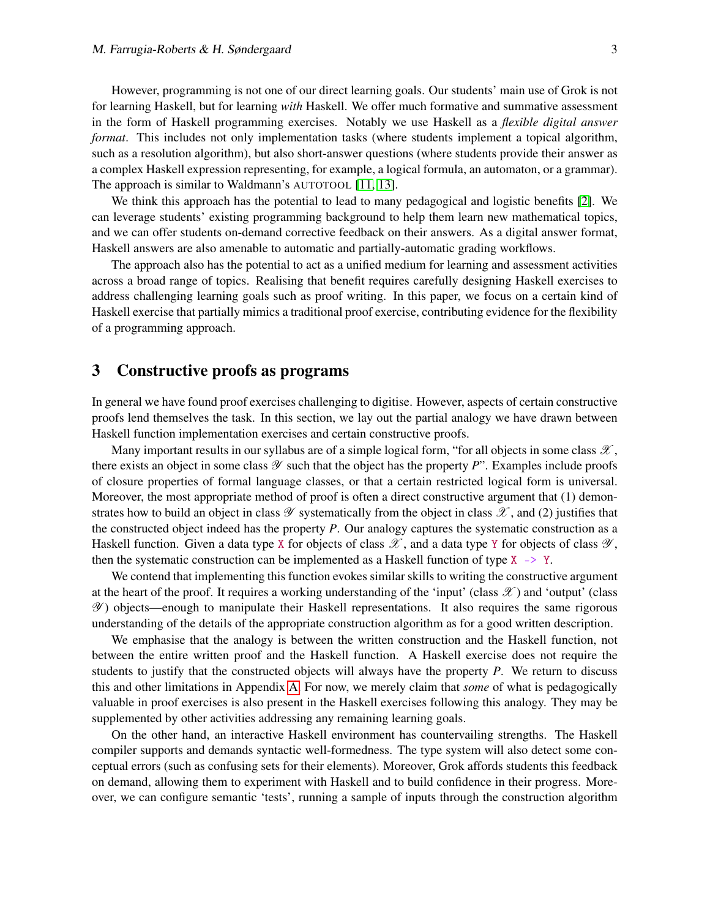However, programming is not one of our direct learning goals. Our students' main use of Grok is not for learning Haskell, but for learning *with* Haskell. We offer much formative and summative assessment in the form of Haskell programming exercises. Notably we use Haskell as a *flexible digital answer format*. This includes not only implementation tasks (where students implement a topical algorithm, such as a resolution algorithm), but also short-answer questions (where students provide their answer as a complex Haskell expression representing, for example, a logical formula, an automaton, or a grammar). The approach is similar to Waldmann's AUTOTOOL [\[11,](#page-5-4) [13\]](#page-5-5).

We think this approach has the potential to lead to many pedagogical and logistic benefits [\[2\]](#page-5-1). We can leverage students' existing programming background to help them learn new mathematical topics, and we can offer students on-demand corrective feedback on their answers. As a digital answer format, Haskell answers are also amenable to automatic and partially-automatic grading workflows.

The approach also has the potential to act as a unified medium for learning and assessment activities across a broad range of topics. Realising that benefit requires carefully designing Haskell exercises to address challenging learning goals such as proof writing. In this paper, we focus on a certain kind of Haskell exercise that partially mimics a traditional proof exercise, contributing evidence for the flexibility of a programming approach.

#### <span id="page-2-0"></span>3 Constructive proofs as programs

In general we have found proof exercises challenging to digitise. However, aspects of certain constructive proofs lend themselves the task. In this section, we lay out the partial analogy we have drawn between Haskell function implementation exercises and certain constructive proofs.

Many important results in our syllabus are of a simple logical form, "for all objects in some class  $\mathscr{X}$ , there exists an object in some class  $\mathscr Y$  such that the object has the property  $P$ ". Examples include proofs of closure properties of formal language classes, or that a certain restricted logical form is universal. Moreover, the most appropriate method of proof is often a direct constructive argument that (1) demonstrates how to build an object in class  $\mathscr Y$  systematically from the object in class  $\mathscr X$ , and (2) justifies that the constructed object indeed has the property *P*. Our analogy captures the systematic construction as a Haskell function. Given a data type X for objects of class  $\mathscr X$ , and a data type Y for objects of class  $\mathscr Y$ , then the systematic construction can be implemented as a Haskell function of type  $X \rightarrow Y$ .

We contend that implementing this function evokes similar skills to writing the constructive argument at the heart of the proof. It requires a working understanding of the 'input' (class  $\mathscr{X}$ ) and 'output' (class Y ) objects—enough to manipulate their Haskell representations. It also requires the same rigorous understanding of the details of the appropriate construction algorithm as for a good written description.

We emphasise that the analogy is between the written construction and the Haskell function, not between the entire written proof and the Haskell function. A Haskell exercise does not require the students to justify that the constructed objects will always have the property *P*. We return to discuss this and other limitations in Appendix [A.](#page-6-0) For now, we merely claim that *some* of what is pedagogically valuable in proof exercises is also present in the Haskell exercises following this analogy. They may be supplemented by other activities addressing any remaining learning goals.

On the other hand, an interactive Haskell environment has countervailing strengths. The Haskell compiler supports and demands syntactic well-formedness. The type system will also detect some conceptual errors (such as confusing sets for their elements). Moreover, Grok affords students this feedback on demand, allowing them to experiment with Haskell and to build confidence in their progress. Moreover, we can configure semantic 'tests', running a sample of inputs through the construction algorithm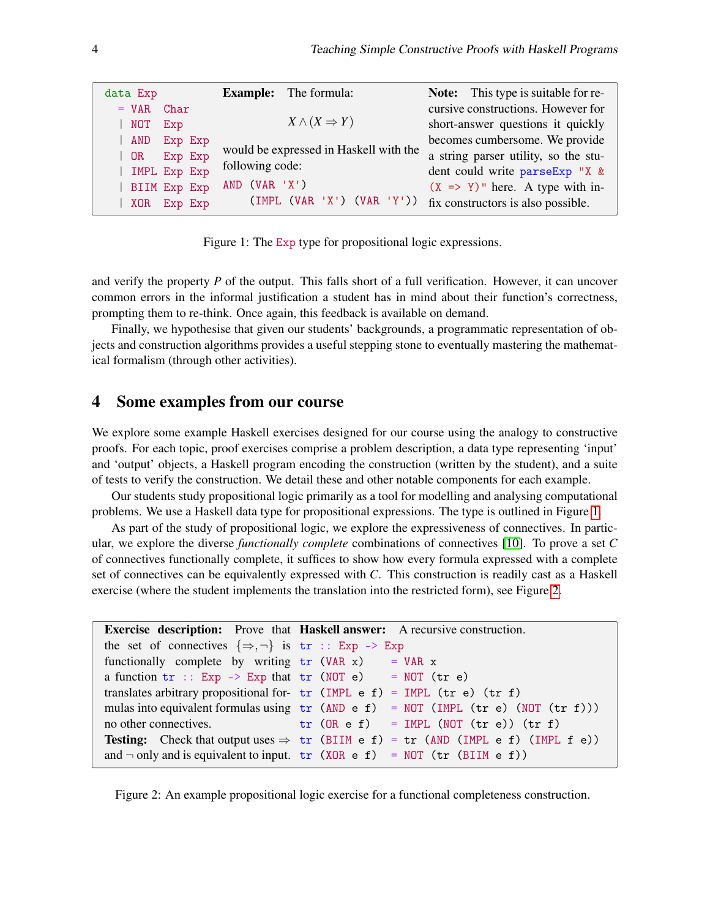| data Exp        | <b>Example:</b> The formula:           | <b>Note:</b> This type is suitable for re-  |
|-----------------|----------------------------------------|---------------------------------------------|
| $= VAR$<br>Char |                                        | cursive constructions. However for          |
| NOT<br>Exp      | $X \wedge (X \Rightarrow Y)$           | short-answer questions it quickly           |
| Exp Exp<br>AND  |                                        | becomes cumbersome. We provide              |
| Exp Exp<br>OR . | would be expressed in Haskell with the | a string parser utility, so the stu-        |
| IMPL Exp Exp    | following code:                        | dent could write parseExp "X &              |
| BIIM Exp Exp    | AND (VAR 'X')                          | $(X \Rightarrow Y)$ " here. A type with in- |
| Exp Exp<br>XOR  | (IMPL (VAR 'X') (VAR 'Y'))             | fix constructors is also possible.          |

Figure 1: The Exp type for propositional logic expressions.

<span id="page-3-1"></span>and verify the property *P* of the output. This falls short of a full verification. However, it can uncover common errors in the informal justification a student has in mind about their function's correctness, prompting them to re-think. Once again, this feedback is available on demand.

Finally, we hypothesise that given our students' backgrounds, a programmatic representation of objects and construction algorithms provides a useful stepping stone to eventually mastering the mathematical formalism (through other activities).

#### <span id="page-3-0"></span>4 Some examples from our course

We explore some example Haskell exercises designed for our course using the analogy to constructive proofs. For each topic, proof exercises comprise a problem description, a data type representing 'input' and 'output' objects, a Haskell program encoding the construction (written by the student), and a suite of tests to verify the construction. We detail these and other notable components for each example.

Our students study propositional logic primarily as a tool for modelling and analysing computational problems. We use a Haskell data type for propositional expressions. The type is outlined in Figure [1.](#page-3-1)

As part of the study of propositional logic, we explore the expressiveness of connectives. In particular, we explore the diverse *functionally complete* combinations of connectives [\[10\]](#page-5-6). To prove a set *C* of connectives functionally complete, it suffices to show how every formula expressed with a complete set of connectives can be equivalently expressed with *C*. This construction is readily cast as a Haskell exercise (where the student implements the translation into the restricted form), see Figure [2.](#page-3-2)

```
Exercise description: Prove that Haskell answer: A recursive construction.
the set of connectives \{\Rightarrow, \neg\} is \text{tr} :: Exp -> Exp
functionally complete by writing tr (VAR x) = VAR x
a function tr : Exp \rightarrow Exp that tr (NOT e)translates arbitrary propositional for-
tr (IMPL e f) = IMPL (tr e) (tr f)
mulas into equivalent formulas using
tr (AND e f) = NOT (IMPL (tr e) (NOT (tr f)))
no other connectives.
Testing: Check that output uses \Rightarrow tr (BIIM e f) = tr (AND (IMPL e f) (IMPL f e))
and \neg only and is equivalent to input. \mathsf{tr}(\mathsf{XOR} \mathsf{e} \mathsf{f}) = \mathsf{NOT}(\mathsf{tr}(\mathsf{BIIM} \mathsf{e} \mathsf{f}))= NOT (tr e)
                                      tr (OR e f) = IMPL (NOT (tr e)) (tr f)
```
<span id="page-3-2"></span>Figure 2: An example propositional logic exercise for a functional completeness construction.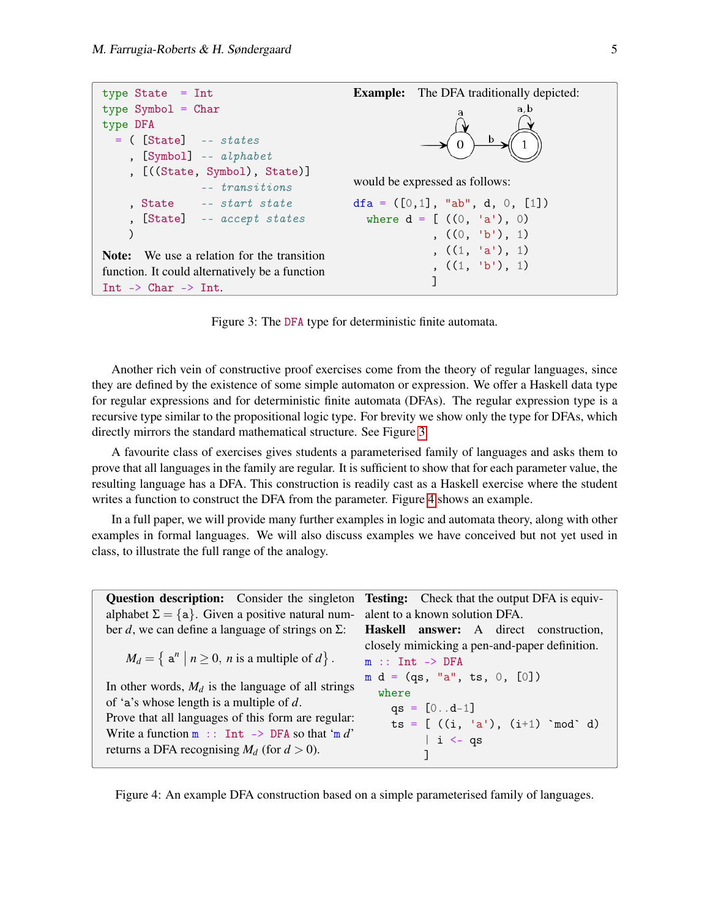```
type State = Int
type Symbol = Chartype DFA
 = ( [State] -- states
    , [Symbol] -- alphabet
    , [((State, Symbol), State)]
               -- transitions
    , State -- start state
    , [State] -- accept states
    )
Note: We use a relation for the transition
function. It could alternatively be a function
Int -> Char -> Int.
                                        Example: The DFA traditionally depicted:
                                        would be expressed as follows:
                                        dfa = ([0,1], 'ab', d, 0, [1])where d = [ ((0, 'a'), 0) ](0, 'b'), 1)(1, 'a'), 1)(1, 'b'), 1)]
```
Figure 3: The DFA type for deterministic finite automata.

<span id="page-4-0"></span>Another rich vein of constructive proof exercises come from the theory of regular languages, since they are defined by the existence of some simple automaton or expression. We offer a Haskell data type for regular expressions and for deterministic finite automata (DFAs). The regular expression type is a recursive type similar to the propositional logic type. For brevity we show only the type for DFAs, which directly mirrors the standard mathematical structure. See Figure [3.](#page-4-0)

A favourite class of exercises gives students a parameterised family of languages and asks them to prove that all languages in the family are regular. It is sufficient to show that for each parameter value, the resulting language has a DFA. This construction is readily cast as a Haskell exercise where the student writes a function to construct the DFA from the parameter. Figure [4](#page-4-1) shows an example.

In a full paper, we will provide many further examples in logic and automata theory, along with other examples in formal languages. We will also discuss examples we have conceived but not yet used in class, to illustrate the full range of the analogy.

| <b>Question description:</b> Consider the singleton <b>Testing:</b> Check that the output DFA is equiv- |                                               |
|---------------------------------------------------------------------------------------------------------|-----------------------------------------------|
| alphabet $\Sigma = \{a\}$ . Given a positive natural num-                                               | alent to a known solution DFA.                |
| ber d, we can define a language of strings on $\Sigma$ :                                                | <b>Haskell answer:</b> A direct construction, |
|                                                                                                         | closely mimicking a pen-and-paper definition. |
| $M_d = \{ \mathbf{a}^n \mid n \geq 0, n \text{ is a multiple of } d \}.$                                | $m$ :: Int $\rightarrow$ DFA                  |
|                                                                                                         | $m d = (qs, "a", ts, 0, [0])$                 |
| In other words, $M_d$ is the language of all strings                                                    | where                                         |
| of 'a's whose length is a multiple of $d$ .                                                             | $qs = [0d-1]$                                 |
| Prove that all languages of this form are regular:                                                      | $ts = [ ((i, 'a'), (i+1) \mod d)$             |
| Write a function $m$ :: Int -> DFA so that 'm d'                                                        | $  i \leftarrow$ qs                           |
| returns a DFA recognising $M_d$ (for $d > 0$ ).                                                         |                                               |

<span id="page-4-1"></span>Figure 4: An example DFA construction based on a simple parameterised family of languages.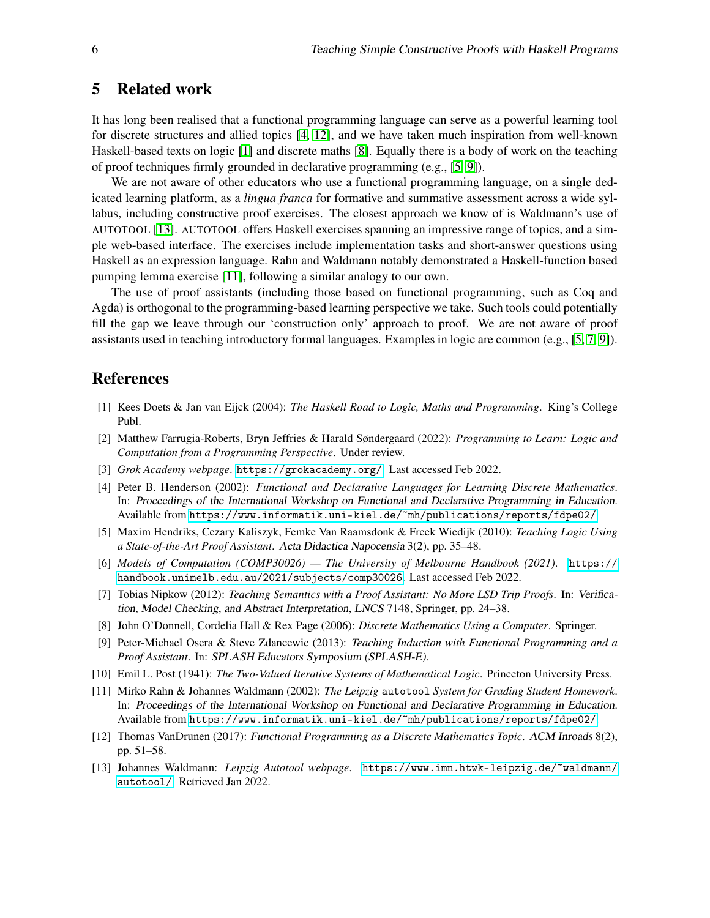#### <span id="page-5-2"></span>5 Related work

It has long been realised that a functional programming language can serve as a powerful learning tool for discrete structures and allied topics [\[4,](#page-5-7) [12\]](#page-5-8), and we have taken much inspiration from well-known Haskell-based texts on logic [\[1\]](#page-5-9) and discrete maths [\[8\]](#page-5-10). Equally there is a body of work on the teaching of proof techniques firmly grounded in declarative programming (e.g., [\[5,](#page-5-11) [9\]](#page-5-12)).

We are not aware of other educators who use a functional programming language, on a single dedicated learning platform, as a *lingua franca* for formative and summative assessment across a wide syllabus, including constructive proof exercises. The closest approach we know of is Waldmann's use of AUTOTOOL [\[13\]](#page-5-5). AUTOTOOL offers Haskell exercises spanning an impressive range of topics, and a simple web-based interface. The exercises include implementation tasks and short-answer questions using Haskell as an expression language. Rahn and Waldmann notably demonstrated a Haskell-function based pumping lemma exercise [\[11\]](#page-5-4), following a similar analogy to our own.

The use of proof assistants (including those based on functional programming, such as Coq and Agda) is orthogonal to the programming-based learning perspective we take. Such tools could potentially fill the gap we leave through our 'construction only' approach to proof. We are not aware of proof assistants used in teaching introductory formal languages. Examples in logic are common (e.g., [\[5,](#page-5-11) [7,](#page-5-13) [9\]](#page-5-12)).

#### References

- <span id="page-5-9"></span>[1] Kees Doets & Jan van Eijck (2004): *The Haskell Road to Logic, Maths and Programming*. King's College Publ.
- <span id="page-5-1"></span>[2] Matthew Farrugia-Roberts, Bryn Jeffries & Harald Søndergaard (2022): *Programming to Learn: Logic and Computation from a Programming Perspective*. Under review.
- <span id="page-5-3"></span>[3] *Grok Academy webpage*. <https://grokacademy.org/>. Last accessed Feb 2022.
- <span id="page-5-7"></span>[4] Peter B. Henderson (2002): *Functional and Declarative Languages for Learning Discrete Mathematics*. In: Proceedings of the International Workshop on Functional and Declarative Programming in Education. Available from <https://www.informatik.uni-kiel.de/~mh/publications/reports/fdpe02/>.
- <span id="page-5-11"></span>[5] Maxim Hendriks, Cezary Kaliszyk, Femke Van Raamsdonk & Freek Wiedijk (2010): *Teaching Logic Using a State-of-the-Art Proof Assistant*. Acta Didactica Napocensia 3(2), pp. 35–48.
- <span id="page-5-0"></span>[6] *Models of Computation (COMP30026) — The University of Melbourne Handbook (2021)*. [https://](https://handbook.unimelb.edu.au/2021/subjects/comp30026) [handbook.unimelb.edu.au/2021/subjects/comp30026](https://handbook.unimelb.edu.au/2021/subjects/comp30026). Last accessed Feb 2022.
- <span id="page-5-13"></span>[7] Tobias Nipkow (2012): *Teaching Semantics with a Proof Assistant: No More LSD Trip Proofs*. In: Verification, Model Checking, and Abstract Interpretation, LNCS 7148, Springer, pp. 24–38.
- <span id="page-5-10"></span>[8] John O'Donnell, Cordelia Hall & Rex Page (2006): *Discrete Mathematics Using a Computer*. Springer.
- <span id="page-5-12"></span>[9] Peter-Michael Osera & Steve Zdancewic (2013): *Teaching Induction with Functional Programming and a Proof Assistant*. In: SPLASH Educators Symposium (SPLASH-E).
- <span id="page-5-6"></span>[10] Emil L. Post (1941): *The Two-Valued Iterative Systems of Mathematical Logic*. Princeton University Press.
- <span id="page-5-4"></span>[11] Mirko Rahn & Johannes Waldmann (2002): *The Leipzig* autotool *System for Grading Student Homework*. In: Proceedings of the International Workshop on Functional and Declarative Programming in Education. Available from <https://www.informatik.uni-kiel.de/~mh/publications/reports/fdpe02/>.
- <span id="page-5-8"></span>[12] Thomas VanDrunen (2017): *Functional Programming as a Discrete Mathematics Topic*. ACM Inroads 8(2), pp. 51–58.
- <span id="page-5-5"></span>[13] Johannes Waldmann: *Leipzig Autotool webpage*. [https://www.imn.htwk-leipzig.de/~waldmann/](https://www.imn.htwk-leipzig.de/~waldmann/autotool/) [autotool/](https://www.imn.htwk-leipzig.de/~waldmann/autotool/). Retrieved Jan 2022.